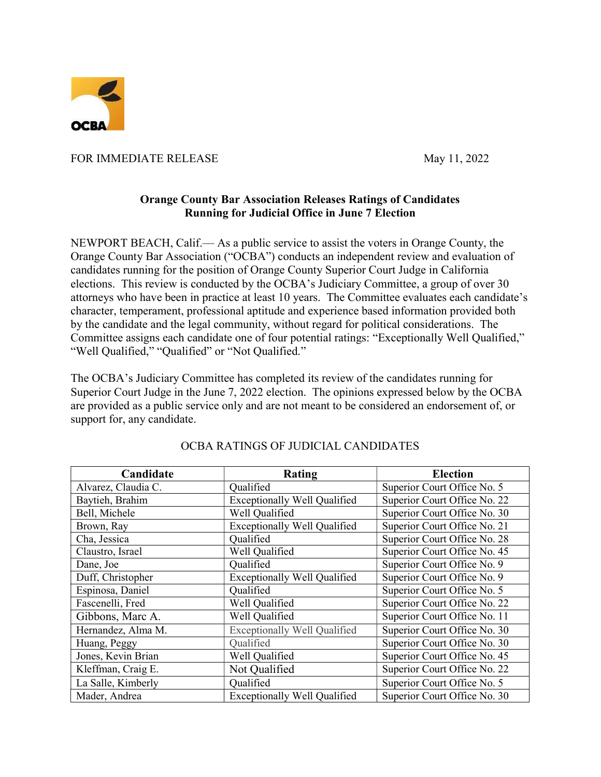

FOR IMMEDIATE RELEASE May 11, 2022

## Orange County Bar Association Releases Ratings of Candidates Running for Judicial Office in June 7 Election

NEWPORT BEACH, Calif.— As a public service to assist the voters in Orange County, the Orange County Bar Association ("OCBA") conducts an independent review and evaluation of candidates running for the position of Orange County Superior Court Judge in California elections. This review is conducted by the OCBA's Judiciary Committee, a group of over 30 attorneys who have been in practice at least 10 years. The Committee evaluates each candidate's character, temperament, professional aptitude and experience based information provided both by the candidate and the legal community, without regard for political considerations. The Committee assigns each candidate one of four potential ratings: "Exceptionally Well Qualified," "Well Qualified," "Qualified" or "Not Qualified."

The OCBA's Judiciary Committee has completed its review of the candidates running for Superior Court Judge in the June 7, 2022 election. The opinions expressed below by the OCBA are provided as a public service only and are not meant to be considered an endorsement of, or support for, any candidate.

| Candidate           | Rating                              | <b>Election</b>              |
|---------------------|-------------------------------------|------------------------------|
| Alvarez, Claudia C. | Qualified                           | Superior Court Office No. 5  |
| Baytieh, Brahim     | <b>Exceptionally Well Qualified</b> | Superior Court Office No. 22 |
| Bell, Michele       | Well Qualified                      | Superior Court Office No. 30 |
| Brown, Ray          | <b>Exceptionally Well Qualified</b> | Superior Court Office No. 21 |
| Cha, Jessica        | Qualified                           | Superior Court Office No. 28 |
| Claustro, Israel    | Well Qualified                      | Superior Court Office No. 45 |
| Dane, Joe           | Qualified                           | Superior Court Office No. 9  |
| Duff, Christopher   | <b>Exceptionally Well Qualified</b> | Superior Court Office No. 9  |
| Espinosa, Daniel    | Qualified                           | Superior Court Office No. 5  |
| Fascenelli, Fred    | Well Qualified                      | Superior Court Office No. 22 |
| Gibbons, Marc A.    | Well Qualified                      | Superior Court Office No. 11 |
| Hernandez, Alma M.  | <b>Exceptionally Well Qualified</b> | Superior Court Office No. 30 |
| Huang, Peggy        | Qualified                           | Superior Court Office No. 30 |
| Jones, Kevin Brian  | Well Qualified                      | Superior Court Office No. 45 |
| Kleffman, Craig E.  | Not Qualified                       | Superior Court Office No. 22 |
| La Salle, Kimberly  | Oualified                           | Superior Court Office No. 5  |
| Mader, Andrea       | <b>Exceptionally Well Qualified</b> | Superior Court Office No. 30 |

## OCBA RATINGS OF JUDICIAL CANDIDATES